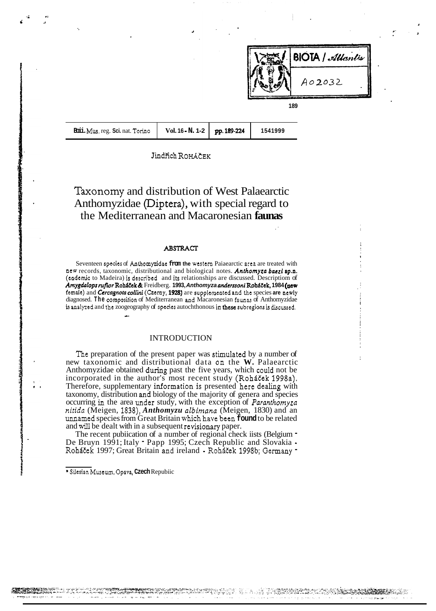

| Boii. Mus. reg. Sci. nat. Torino | Vol. 16 - N. 1-2   pp. 189-224 |  | 1541999 |
|----------------------------------|--------------------------------|--|---------|
|----------------------------------|--------------------------------|--|---------|

**-i**  *6* 

**Jindřich ROHAČEK** 

Taxonomy and distribution of West Palaearctic Anthomyzidae (Diptera), with special regard to the Mediterranean and Macaronesian **faunas** 

## ABSTRACT

Seventeen specics of Anthomyzidac **from the** westem Paiaearctic area are treated with **aew** records, taxonomic, distributional and biological notes. *Anthomyzu buczi* **sp.n.**  (endemic to Madeira) is described and its relationships are discussed. Descriptiom of  $A$ mygdalops *rufior* Roháček & Freidberg. 1993, Anthomyza anderssoni Roháček, 1984 (new **fernaie)** and *Cercugnota coilini* (Czemy, **1928)** are supplemented and **thc** species **are newly**  diagnosed. **The** cornposition of Mediterranean and Macaronesian faunas of Anthomyzidae **is** analyzed and **the** zoogeography of **specics** autochthonous in **&ese** subregions **is** discussed. **L** 

# INTRODUCTION

The preparation of the present paper was stimulated by a number of new taxonomic and distributional data on the **W.** Palaearctic Anthomyzidae obtained during past the five years, which could not be incorporated in the author's most recent study (Roháček 1998a). Therefore, supplementary information is presented here dealing wíth taxonomy, distribution and biology of the majority of genera and species occurring in the area under study, with the exception of *Paranthomyza nitida* (Meigen, 1838), *Anthomyzu albimnna* (Meigen, 1830) and an unnamed species from Great Britain **which** have been **found** to be related and will be dealt with in a subsequent revisionary paper.

The recent pubiication of a number of regional check iists (Belgium  $\blacksquare$ De Bruyn 1991; Italy - Papp 1995; Czech Republic and Slovakia - Roháček 1997; Great Britain and ireland - Roháček 1998b; Germany -

<sup>\*</sup> Siiesian Museum, Opava, **Czech** Repubiic